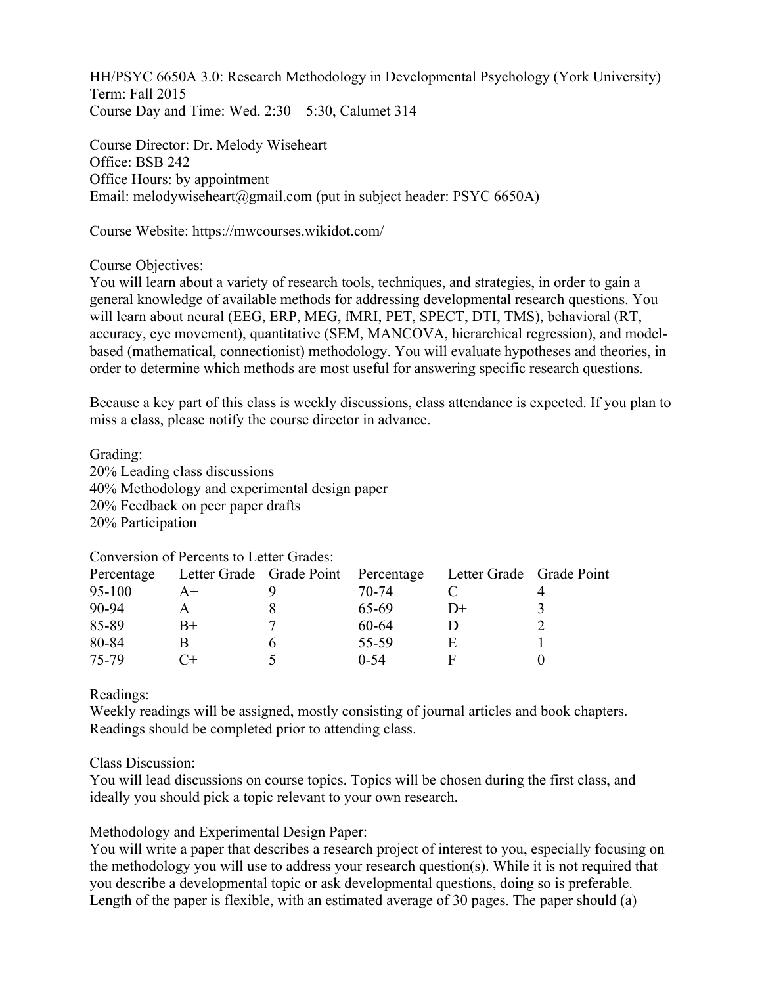HH/PSYC 6650A 3.0: Research Methodology in Developmental Psychology (York University) Term: Fall 2015 Course Day and Time: Wed. 2:30 – 5:30, Calumet 314

Course Director: Dr. Melody Wiseheart Office: BSB 242 Office Hours: by appointment Email: melodywiseheart@gmail.com (put in subject header: PSYC 6650A)

Course Website: https://mwcourses.wikidot.com/

Course Objectives:

You will learn about a variety of research tools, techniques, and strategies, in order to gain a general knowledge of available methods for addressing developmental research questions. You will learn about neural (EEG, ERP, MEG, fMRI, PET, SPECT, DTI, TMS), behavioral (RT, accuracy, eye movement), quantitative (SEM, MANCOVA, hierarchical regression), and modelbased (mathematical, connectionist) methodology. You will evaluate hypotheses and theories, in order to determine which methods are most useful for answering specific research questions.

Because a key part of this class is weekly discussions, class attendance is expected. If you plan to miss a class, please notify the course director in advance.

Grading: 20% Leading class discussions 40% Methodology and experimental design paper 20% Feedback on peer paper drafts 20% Participation

Conversion of Percents to Letter Grades:

|        |      | Percentage Letter Grade Grade Point Percentage Letter Grade Grade Point |    |  |
|--------|------|-------------------------------------------------------------------------|----|--|
| 95-100 | $A+$ | 70-74                                                                   |    |  |
| 90-94  |      | 65-69                                                                   | D+ |  |
| 85-89  | B+   | 60-64                                                                   |    |  |
| 80-84  |      | 55-59                                                                   |    |  |
| 75-79  |      | $0 - 54$                                                                |    |  |

Readings:

Weekly readings will be assigned, mostly consisting of journal articles and book chapters. Readings should be completed prior to attending class.

Class Discussion:

You will lead discussions on course topics. Topics will be chosen during the first class, and ideally you should pick a topic relevant to your own research.

Methodology and Experimental Design Paper:

You will write a paper that describes a research project of interest to you, especially focusing on the methodology you will use to address your research question(s). While it is not required that you describe a developmental topic or ask developmental questions, doing so is preferable. Length of the paper is flexible, with an estimated average of 30 pages. The paper should (a)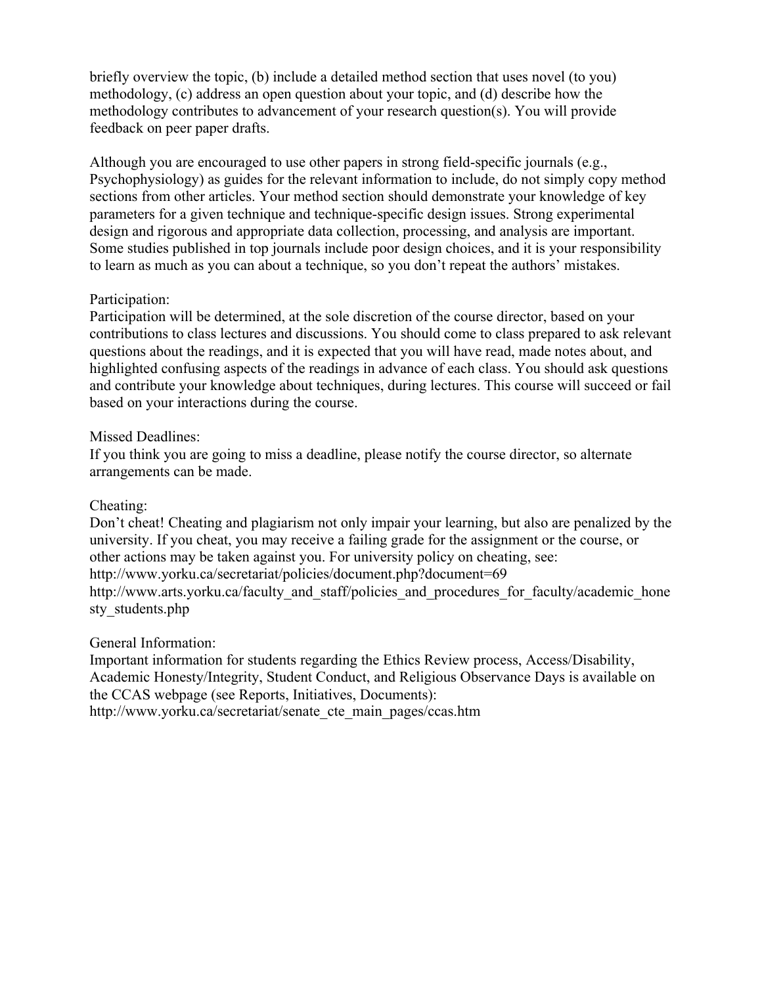briefly overview the topic, (b) include a detailed method section that uses novel (to you) methodology, (c) address an open question about your topic, and (d) describe how the methodology contributes to advancement of your research question(s). You will provide feedback on peer paper drafts.

Although you are encouraged to use other papers in strong field-specific journals (e.g., Psychophysiology) as guides for the relevant information to include, do not simply copy method sections from other articles. Your method section should demonstrate your knowledge of key parameters for a given technique and technique-specific design issues. Strong experimental design and rigorous and appropriate data collection, processing, and analysis are important. Some studies published in top journals include poor design choices, and it is your responsibility to learn as much as you can about a technique, so you don't repeat the authors' mistakes.

### Participation:

Participation will be determined, at the sole discretion of the course director, based on your contributions to class lectures and discussions. You should come to class prepared to ask relevant questions about the readings, and it is expected that you will have read, made notes about, and highlighted confusing aspects of the readings in advance of each class. You should ask questions and contribute your knowledge about techniques, during lectures. This course will succeed or fail based on your interactions during the course.

### Missed Deadlines:

If you think you are going to miss a deadline, please notify the course director, so alternate arrangements can be made.

# Cheating:

Don't cheat! Cheating and plagiarism not only impair your learning, but also are penalized by the university. If you cheat, you may receive a failing grade for the assignment or the course, or other actions may be taken against you. For university policy on cheating, see: http://www.yorku.ca/secretariat/policies/document.php?document=69 http://www.arts.yorku.ca/faculty\_and\_staff/policies\_and\_procedures\_for\_faculty/academic\_hone sty\_students.php

#### General Information:

Important information for students regarding the Ethics Review process, Access/Disability, Academic Honesty/Integrity, Student Conduct, and Religious Observance Days is available on the CCAS webpage (see Reports, Initiatives, Documents):

http://www.yorku.ca/secretariat/senate\_cte\_main\_pages/ccas.htm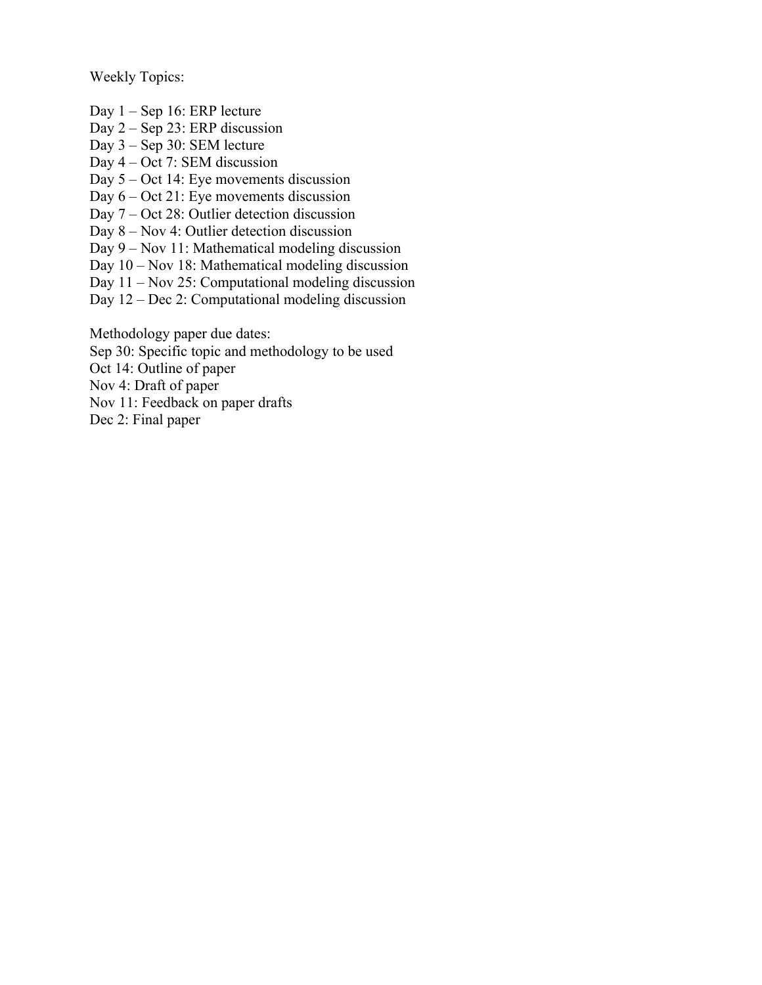Weekly Topics:

Day 1 – Sep 16: ERP lecture

Day 2 – Sep 23: ERP discussion

Day 3 – Sep 30: SEM lecture

Day 4 – Oct 7: SEM discussion

Day 5 – Oct 14: Eye movements discussion

Day 6 – Oct 21: Eye movements discussion

Day 7 – Oct 28: Outlier detection discussion

Day 8 – Nov 4: Outlier detection discussion

Day 9 – Nov 11: Mathematical modeling discussion

Day 10 – Nov 18: Mathematical modeling discussion

Day 11 – Nov 25: Computational modeling discussion

Day 12 – Dec 2: Computational modeling discussion

Methodology paper due dates:

Sep 30: Specific topic and methodology to be used

Oct 14: Outline of paper

Nov 4: Draft of paper

Nov 11: Feedback on paper drafts

Dec 2: Final paper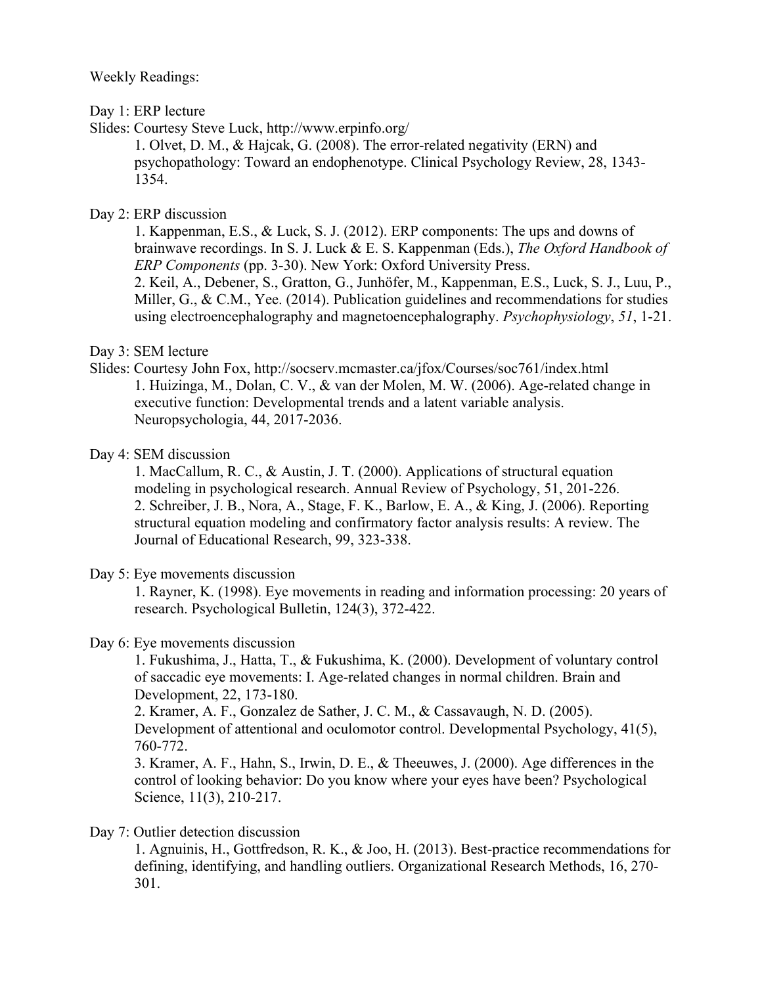#### Weekly Readings:

### Day 1: ERP lecture

Slides: Courtesy Steve Luck, http://www.erpinfo.org/

1. Olvet, D. M., & Hajcak, G. (2008). The error-related negativity (ERN) and psychopathology: Toward an endophenotype. Clinical Psychology Review, 28, 1343- 1354.

# Day 2: ERP discussion

1. Kappenman, E.S., & Luck, S. J. (2012). ERP components: The ups and downs of brainwave recordings. In S. J. Luck & E. S. Kappenman (Eds.), *The Oxford Handbook of ERP Components* (pp. 3-30). New York: Oxford University Press. 2. Keil, A., Debener, S., Gratton, G., Junhöfer, M., Kappenman, E.S., Luck, S. J., Luu, P., Miller, G., & C.M., Yee. (2014). Publication guidelines and recommendations for studies using electroencephalography and magnetoencephalography. *Psychophysiology*, *51*, 1-21.

# Day 3: SEM lecture

Slides: Courtesy John Fox, http://socserv.mcmaster.ca/jfox/Courses/soc761/index.html 1. Huizinga, M., Dolan, C. V., & van der Molen, M. W. (2006). Age-related change in executive function: Developmental trends and a latent variable analysis. Neuropsychologia, 44, 2017-2036.

### Day 4: SEM discussion

1. MacCallum, R. C., & Austin, J. T. (2000). Applications of structural equation modeling in psychological research. Annual Review of Psychology, 51, 201-226. 2. Schreiber, J. B., Nora, A., Stage, F. K., Barlow, E. A., & King, J. (2006). Reporting structural equation modeling and confirmatory factor analysis results: A review. The Journal of Educational Research, 99, 323-338.

#### Day 5: Eye movements discussion

1. Rayner, K. (1998). Eye movements in reading and information processing: 20 years of research. Psychological Bulletin, 124(3), 372-422.

# Day 6: Eye movements discussion

1. Fukushima, J., Hatta, T., & Fukushima, K. (2000). Development of voluntary control of saccadic eye movements: I. Age-related changes in normal children. Brain and Development, 22, 173-180.

2. Kramer, A. F., Gonzalez de Sather, J. C. M., & Cassavaugh, N. D. (2005). Development of attentional and oculomotor control. Developmental Psychology, 41(5), 760-772.

3. Kramer, A. F., Hahn, S., Irwin, D. E., & Theeuwes, J. (2000). Age differences in the control of looking behavior: Do you know where your eyes have been? Psychological Science, 11(3), 210-217.

# Day 7: Outlier detection discussion

1. Agnuinis, H., Gottfredson, R. K., & Joo, H. (2013). Best-practice recommendations for defining, identifying, and handling outliers. Organizational Research Methods, 16, 270- 301.